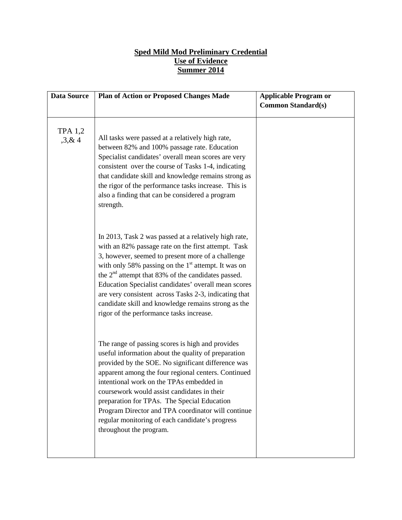## **Sped Mild Mod Preliminary Credential Use of Evidence Summer 2014**

| <b>Data Source</b>          | <b>Plan of Action or Proposed Changes Made</b>                                                                                                                                                                                                                                                                                                                                                                                                                                                                   | <b>Applicable Program or</b> |
|-----------------------------|------------------------------------------------------------------------------------------------------------------------------------------------------------------------------------------------------------------------------------------------------------------------------------------------------------------------------------------------------------------------------------------------------------------------------------------------------------------------------------------------------------------|------------------------------|
|                             |                                                                                                                                                                                                                                                                                                                                                                                                                                                                                                                  | <b>Common Standard(s)</b>    |
| <b>TPA 1,2</b><br>, 3, 8, 4 | All tasks were passed at a relatively high rate,<br>between 82% and 100% passage rate. Education<br>Specialist candidates' overall mean scores are very<br>consistent over the course of Tasks 1-4, indicating<br>that candidate skill and knowledge remains strong as<br>the rigor of the performance tasks increase. This is<br>also a finding that can be considered a program<br>strength.                                                                                                                   |                              |
|                             | In 2013, Task 2 was passed at a relatively high rate,<br>with an 82% passage rate on the first attempt. Task<br>3, however, seemed to present more of a challenge<br>with only 58% passing on the 1 <sup>st</sup> attempt. It was on<br>the $2nd$ attempt that 83% of the candidates passed.<br>Education Specialist candidates' overall mean scores<br>are very consistent across Tasks 2-3, indicating that<br>candidate skill and knowledge remains strong as the<br>rigor of the performance tasks increase. |                              |
|                             | The range of passing scores is high and provides<br>useful information about the quality of preparation<br>provided by the SOE. No significant difference was<br>apparent among the four regional centers. Continued<br>intentional work on the TPAs embedded in<br>coursework would assist candidates in their<br>preparation for TPAs. The Special Education<br>Program Director and TPA coordinator will continue<br>regular monitoring of each candidate's progress<br>throughout the program.               |                              |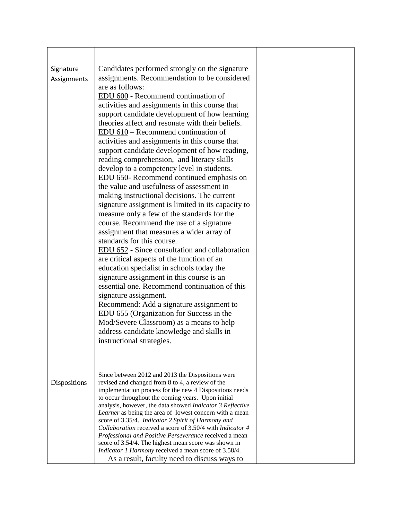| Signature<br>Assignments | Candidates performed strongly on the signature<br>assignments. Recommendation to be considered<br>are as follows:<br>EDU 600 - Recommend continuation of<br>activities and assignments in this course that<br>support candidate development of how learning<br>theories affect and resonate with their beliefs.<br>$EDU$ 610 – Recommend continuation of<br>activities and assignments in this course that<br>support candidate development of how reading,<br>reading comprehension, and literacy skills<br>develop to a competency level in students.<br>EDU 650- Recommend continued emphasis on<br>the value and usefulness of assessment in<br>making instructional decisions. The current<br>signature assignment is limited in its capacity to<br>measure only a few of the standards for the<br>course. Recommend the use of a signature<br>assignment that measures a wider array of<br>standards for this course.<br><b>EDU 652</b> - Since consultation and collaboration<br>are critical aspects of the function of an<br>education specialist in schools today the<br>signature assignment in this course is an<br>essential one. Recommend continuation of this<br>signature assignment.<br>Recommend: Add a signature assignment to<br>EDU 655 (Organization for Success in the<br>Mod/Severe Classroom) as a means to help<br>address candidate knowledge and skills in<br>instructional strategies. |  |
|--------------------------|----------------------------------------------------------------------------------------------------------------------------------------------------------------------------------------------------------------------------------------------------------------------------------------------------------------------------------------------------------------------------------------------------------------------------------------------------------------------------------------------------------------------------------------------------------------------------------------------------------------------------------------------------------------------------------------------------------------------------------------------------------------------------------------------------------------------------------------------------------------------------------------------------------------------------------------------------------------------------------------------------------------------------------------------------------------------------------------------------------------------------------------------------------------------------------------------------------------------------------------------------------------------------------------------------------------------------------------------------------------------------------------------------------------------|--|
| Dispositions             | Since between 2012 and 2013 the Dispositions were<br>revised and changed from 8 to 4, a review of the<br>implementation process for the new 4 Dispositions needs<br>to occur throughout the coming years. Upon initial<br>analysis, however, the data showed Indicator 3 Reflective<br>Learner as being the area of lowest concern with a mean<br>score of 3.35/4. Indicator 2 Spirit of Harmony and<br>Collaboration received a score of 3.50/4 with <i>Indicator 4</i><br>Professional and Positive Perseverance received a mean<br>score of 3.54/4. The highest mean score was shown in<br>Indicator 1 Harmony received a mean score of 3.58/4.<br>As a result, faculty need to discuss ways to                                                                                                                                                                                                                                                                                                                                                                                                                                                                                                                                                                                                                                                                                                                   |  |